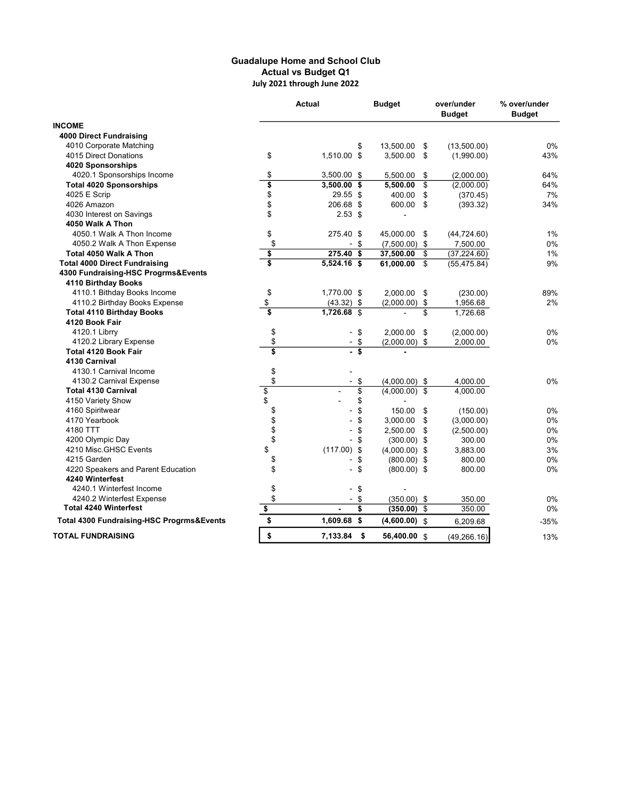## Guadalupe Home and School Club Actual vs Budget Q1 July 2021 through June 2022

| <b>INCOME</b><br><b>4000 Direct Fundraising</b><br>4010 Corporate Matching<br>\$<br>13,500.00<br>(13,500.00)<br>0%<br>\$<br>\$<br>4015 Direct Donations<br>1,510.00 \$<br>3,500.00<br>\$<br>43%<br>(1,990.00)<br>4020 Sponsorships<br>\$<br>4020.1 Sponsorships Income<br>3,500.00 \$<br>5,500.00<br>\$<br>(2,000.00)<br>64%<br>\$<br><b>Total 4020 Sponsorships</b><br>\$<br>$3,500.00$ \$<br>5,500.00<br>(2,000.00)<br>64%<br>\$<br>4025 E Scrip<br>29.55 \$<br>400.00<br>\$<br>(370.45)<br>7%<br>\$<br>206.68 \$<br>4026 Amazon<br>\$<br>(393.32)<br>34%<br>600.00<br>\$<br>4030 Interest on Savings<br>$2.53$ \$<br>4050 Walk A Thon<br>\$<br>4050.1 Walk A Thon Income<br>275.40<br>1%<br>\$<br>45,000.00<br>\$<br>(44, 724.60)<br>\$<br>0%<br>4050.2 Walk A Thon Expense<br>\$<br>$(7,500.00)$ \$<br>7,500.00<br>$\overline{\phantom{0}}$<br>\$<br>$275.40$ \$<br>Total 4050 Walk A Thon<br>\$<br>(37, 224.60)<br>1%<br>37,500.00<br>\$<br>$5,524.16$ \$<br>61,000.00<br>\$<br><b>Total 4000 Direct Fundraising</b><br>(55, 475.84)<br>9%<br>4300 Fundraising-HSC Progrms&Events<br>4110 Birthday Books<br>\$<br>4110.1 Bithday Books Income<br>1,770.00 \$<br>2,000.00<br>\$<br>(230.00)<br>89%<br>\$<br>4110.2 Birthday Books Expense<br>$(43.32)$ \$<br>\$<br>2%<br>(2,000.00)<br>1,956.68<br>\$<br>1,726.68 \$<br>\$<br><b>Total 4110 Birthday Books</b><br>1,726.68<br>4120 Book Fair<br>\$<br>4120.1 Librry<br>\$<br>2,000.00<br>\$<br>0%<br>(2,000.00)<br>$\blacksquare$<br>\$<br>4120.2 Library Expense<br>$-$ \$<br>$(2,000.00)$ \$<br>0%<br>2,000.00<br>\$<br>\$<br><b>Total 4120 Book Fair</b><br>L.<br>4130 Carnival<br>\$<br>4130.1 Carnival Income<br>\$<br>4130.2 Carnival Expense<br>0%<br>\$<br>$(4,000.00)$ \$<br>4,000.00<br>$\frac{1}{2}$<br>\$<br><b>Total 4130 Carnival</b><br>$(4,000.00)$ \$<br>4,000.00<br>4150 Variety Show<br>\$<br>\$<br>4160 Spiritwear<br>0%<br>\$<br>150.00<br>\$<br>(150.00)<br>\$<br>4170 Yearbook<br>\$<br>0%<br>\$<br>3,000.00<br>(3,000.00)<br>\$<br>4180 TTT<br>\$<br>2,500.00<br>\$<br>(2,500.00)<br>0%<br>\$<br>4200 Olympic Day<br>\$<br>$(300.00)$ \$<br>0%<br>300.00<br>\$<br>4210 Misc.GHSC Events<br>(117.00)<br>3%<br>\$<br>$(4,000.00)$ \$<br>3,883.00<br>\$<br>4215 Garden<br>800.00<br>0%<br>$(800.00)$ \$<br>\$<br>\$<br>4220 Speakers and Parent Education<br>0%<br>\$<br>$(800.00)$ \$<br>800.00<br>4240 Winterfest<br>\$<br>4240.1 Winterfest Income<br>\$<br>\$<br>4240.2 Winterfest Expense<br>\$<br>$(350.00)$ \$<br>0%<br>350.00<br>$\blacksquare$<br><b>Total 4240 Winterfest</b><br>\$<br>\$<br>\$<br>350.00<br>0%<br>(350.00)<br>\$<br>1,609.68<br>\$<br><b>Total 4300 Fundraising-HSC Progrms&amp;Events</b><br>$(4,600.00)$ \$<br>$-35%$<br>6,209.68<br>\$<br><b>TOTAL FUNDRAISING</b><br>7,133.84<br>- \$<br>56,400.00 \$<br>(49, 266.16)<br>13% | <b>Actual</b> |  | <b>Budget</b> | over/under<br><b>Budget</b> | % over/under<br><b>Budget</b> |
|--------------------------------------------------------------------------------------------------------------------------------------------------------------------------------------------------------------------------------------------------------------------------------------------------------------------------------------------------------------------------------------------------------------------------------------------------------------------------------------------------------------------------------------------------------------------------------------------------------------------------------------------------------------------------------------------------------------------------------------------------------------------------------------------------------------------------------------------------------------------------------------------------------------------------------------------------------------------------------------------------------------------------------------------------------------------------------------------------------------------------------------------------------------------------------------------------------------------------------------------------------------------------------------------------------------------------------------------------------------------------------------------------------------------------------------------------------------------------------------------------------------------------------------------------------------------------------------------------------------------------------------------------------------------------------------------------------------------------------------------------------------------------------------------------------------------------------------------------------------------------------------------------------------------------------------------------------------------------------------------------------------------------------------------------------------------------------------------------------------------------------------------------------------------------------------------------------------------------------------------------------------------------------------------------------------------------------------------------------------------------------------------------------------------------------------------------------------------------------------------------------------------------------------------------------------------------------------------------------------------------------------------------------------------------------------------------------------------------------------------------------------------------------------------------------------------------------------|---------------|--|---------------|-----------------------------|-------------------------------|
|                                                                                                                                                                                                                                                                                                                                                                                                                                                                                                                                                                                                                                                                                                                                                                                                                                                                                                                                                                                                                                                                                                                                                                                                                                                                                                                                                                                                                                                                                                                                                                                                                                                                                                                                                                                                                                                                                                                                                                                                                                                                                                                                                                                                                                                                                                                                                                                                                                                                                                                                                                                                                                                                                                                                                                                                                                      |               |  |               |                             |                               |
|                                                                                                                                                                                                                                                                                                                                                                                                                                                                                                                                                                                                                                                                                                                                                                                                                                                                                                                                                                                                                                                                                                                                                                                                                                                                                                                                                                                                                                                                                                                                                                                                                                                                                                                                                                                                                                                                                                                                                                                                                                                                                                                                                                                                                                                                                                                                                                                                                                                                                                                                                                                                                                                                                                                                                                                                                                      |               |  |               |                             |                               |
|                                                                                                                                                                                                                                                                                                                                                                                                                                                                                                                                                                                                                                                                                                                                                                                                                                                                                                                                                                                                                                                                                                                                                                                                                                                                                                                                                                                                                                                                                                                                                                                                                                                                                                                                                                                                                                                                                                                                                                                                                                                                                                                                                                                                                                                                                                                                                                                                                                                                                                                                                                                                                                                                                                                                                                                                                                      |               |  |               |                             |                               |
|                                                                                                                                                                                                                                                                                                                                                                                                                                                                                                                                                                                                                                                                                                                                                                                                                                                                                                                                                                                                                                                                                                                                                                                                                                                                                                                                                                                                                                                                                                                                                                                                                                                                                                                                                                                                                                                                                                                                                                                                                                                                                                                                                                                                                                                                                                                                                                                                                                                                                                                                                                                                                                                                                                                                                                                                                                      |               |  |               |                             |                               |
|                                                                                                                                                                                                                                                                                                                                                                                                                                                                                                                                                                                                                                                                                                                                                                                                                                                                                                                                                                                                                                                                                                                                                                                                                                                                                                                                                                                                                                                                                                                                                                                                                                                                                                                                                                                                                                                                                                                                                                                                                                                                                                                                                                                                                                                                                                                                                                                                                                                                                                                                                                                                                                                                                                                                                                                                                                      |               |  |               |                             |                               |
|                                                                                                                                                                                                                                                                                                                                                                                                                                                                                                                                                                                                                                                                                                                                                                                                                                                                                                                                                                                                                                                                                                                                                                                                                                                                                                                                                                                                                                                                                                                                                                                                                                                                                                                                                                                                                                                                                                                                                                                                                                                                                                                                                                                                                                                                                                                                                                                                                                                                                                                                                                                                                                                                                                                                                                                                                                      |               |  |               |                             |                               |
|                                                                                                                                                                                                                                                                                                                                                                                                                                                                                                                                                                                                                                                                                                                                                                                                                                                                                                                                                                                                                                                                                                                                                                                                                                                                                                                                                                                                                                                                                                                                                                                                                                                                                                                                                                                                                                                                                                                                                                                                                                                                                                                                                                                                                                                                                                                                                                                                                                                                                                                                                                                                                                                                                                                                                                                                                                      |               |  |               |                             |                               |
|                                                                                                                                                                                                                                                                                                                                                                                                                                                                                                                                                                                                                                                                                                                                                                                                                                                                                                                                                                                                                                                                                                                                                                                                                                                                                                                                                                                                                                                                                                                                                                                                                                                                                                                                                                                                                                                                                                                                                                                                                                                                                                                                                                                                                                                                                                                                                                                                                                                                                                                                                                                                                                                                                                                                                                                                                                      |               |  |               |                             |                               |
|                                                                                                                                                                                                                                                                                                                                                                                                                                                                                                                                                                                                                                                                                                                                                                                                                                                                                                                                                                                                                                                                                                                                                                                                                                                                                                                                                                                                                                                                                                                                                                                                                                                                                                                                                                                                                                                                                                                                                                                                                                                                                                                                                                                                                                                                                                                                                                                                                                                                                                                                                                                                                                                                                                                                                                                                                                      |               |  |               |                             |                               |
|                                                                                                                                                                                                                                                                                                                                                                                                                                                                                                                                                                                                                                                                                                                                                                                                                                                                                                                                                                                                                                                                                                                                                                                                                                                                                                                                                                                                                                                                                                                                                                                                                                                                                                                                                                                                                                                                                                                                                                                                                                                                                                                                                                                                                                                                                                                                                                                                                                                                                                                                                                                                                                                                                                                                                                                                                                      |               |  |               |                             |                               |
|                                                                                                                                                                                                                                                                                                                                                                                                                                                                                                                                                                                                                                                                                                                                                                                                                                                                                                                                                                                                                                                                                                                                                                                                                                                                                                                                                                                                                                                                                                                                                                                                                                                                                                                                                                                                                                                                                                                                                                                                                                                                                                                                                                                                                                                                                                                                                                                                                                                                                                                                                                                                                                                                                                                                                                                                                                      |               |  |               |                             |                               |
|                                                                                                                                                                                                                                                                                                                                                                                                                                                                                                                                                                                                                                                                                                                                                                                                                                                                                                                                                                                                                                                                                                                                                                                                                                                                                                                                                                                                                                                                                                                                                                                                                                                                                                                                                                                                                                                                                                                                                                                                                                                                                                                                                                                                                                                                                                                                                                                                                                                                                                                                                                                                                                                                                                                                                                                                                                      |               |  |               |                             |                               |
|                                                                                                                                                                                                                                                                                                                                                                                                                                                                                                                                                                                                                                                                                                                                                                                                                                                                                                                                                                                                                                                                                                                                                                                                                                                                                                                                                                                                                                                                                                                                                                                                                                                                                                                                                                                                                                                                                                                                                                                                                                                                                                                                                                                                                                                                                                                                                                                                                                                                                                                                                                                                                                                                                                                                                                                                                                      |               |  |               |                             |                               |
|                                                                                                                                                                                                                                                                                                                                                                                                                                                                                                                                                                                                                                                                                                                                                                                                                                                                                                                                                                                                                                                                                                                                                                                                                                                                                                                                                                                                                                                                                                                                                                                                                                                                                                                                                                                                                                                                                                                                                                                                                                                                                                                                                                                                                                                                                                                                                                                                                                                                                                                                                                                                                                                                                                                                                                                                                                      |               |  |               |                             |                               |
|                                                                                                                                                                                                                                                                                                                                                                                                                                                                                                                                                                                                                                                                                                                                                                                                                                                                                                                                                                                                                                                                                                                                                                                                                                                                                                                                                                                                                                                                                                                                                                                                                                                                                                                                                                                                                                                                                                                                                                                                                                                                                                                                                                                                                                                                                                                                                                                                                                                                                                                                                                                                                                                                                                                                                                                                                                      |               |  |               |                             |                               |
|                                                                                                                                                                                                                                                                                                                                                                                                                                                                                                                                                                                                                                                                                                                                                                                                                                                                                                                                                                                                                                                                                                                                                                                                                                                                                                                                                                                                                                                                                                                                                                                                                                                                                                                                                                                                                                                                                                                                                                                                                                                                                                                                                                                                                                                                                                                                                                                                                                                                                                                                                                                                                                                                                                                                                                                                                                      |               |  |               |                             |                               |
|                                                                                                                                                                                                                                                                                                                                                                                                                                                                                                                                                                                                                                                                                                                                                                                                                                                                                                                                                                                                                                                                                                                                                                                                                                                                                                                                                                                                                                                                                                                                                                                                                                                                                                                                                                                                                                                                                                                                                                                                                                                                                                                                                                                                                                                                                                                                                                                                                                                                                                                                                                                                                                                                                                                                                                                                                                      |               |  |               |                             |                               |
|                                                                                                                                                                                                                                                                                                                                                                                                                                                                                                                                                                                                                                                                                                                                                                                                                                                                                                                                                                                                                                                                                                                                                                                                                                                                                                                                                                                                                                                                                                                                                                                                                                                                                                                                                                                                                                                                                                                                                                                                                                                                                                                                                                                                                                                                                                                                                                                                                                                                                                                                                                                                                                                                                                                                                                                                                                      |               |  |               |                             |                               |
|                                                                                                                                                                                                                                                                                                                                                                                                                                                                                                                                                                                                                                                                                                                                                                                                                                                                                                                                                                                                                                                                                                                                                                                                                                                                                                                                                                                                                                                                                                                                                                                                                                                                                                                                                                                                                                                                                                                                                                                                                                                                                                                                                                                                                                                                                                                                                                                                                                                                                                                                                                                                                                                                                                                                                                                                                                      |               |  |               |                             |                               |
|                                                                                                                                                                                                                                                                                                                                                                                                                                                                                                                                                                                                                                                                                                                                                                                                                                                                                                                                                                                                                                                                                                                                                                                                                                                                                                                                                                                                                                                                                                                                                                                                                                                                                                                                                                                                                                                                                                                                                                                                                                                                                                                                                                                                                                                                                                                                                                                                                                                                                                                                                                                                                                                                                                                                                                                                                                      |               |  |               |                             |                               |
|                                                                                                                                                                                                                                                                                                                                                                                                                                                                                                                                                                                                                                                                                                                                                                                                                                                                                                                                                                                                                                                                                                                                                                                                                                                                                                                                                                                                                                                                                                                                                                                                                                                                                                                                                                                                                                                                                                                                                                                                                                                                                                                                                                                                                                                                                                                                                                                                                                                                                                                                                                                                                                                                                                                                                                                                                                      |               |  |               |                             |                               |
|                                                                                                                                                                                                                                                                                                                                                                                                                                                                                                                                                                                                                                                                                                                                                                                                                                                                                                                                                                                                                                                                                                                                                                                                                                                                                                                                                                                                                                                                                                                                                                                                                                                                                                                                                                                                                                                                                                                                                                                                                                                                                                                                                                                                                                                                                                                                                                                                                                                                                                                                                                                                                                                                                                                                                                                                                                      |               |  |               |                             |                               |
|                                                                                                                                                                                                                                                                                                                                                                                                                                                                                                                                                                                                                                                                                                                                                                                                                                                                                                                                                                                                                                                                                                                                                                                                                                                                                                                                                                                                                                                                                                                                                                                                                                                                                                                                                                                                                                                                                                                                                                                                                                                                                                                                                                                                                                                                                                                                                                                                                                                                                                                                                                                                                                                                                                                                                                                                                                      |               |  |               |                             |                               |
|                                                                                                                                                                                                                                                                                                                                                                                                                                                                                                                                                                                                                                                                                                                                                                                                                                                                                                                                                                                                                                                                                                                                                                                                                                                                                                                                                                                                                                                                                                                                                                                                                                                                                                                                                                                                                                                                                                                                                                                                                                                                                                                                                                                                                                                                                                                                                                                                                                                                                                                                                                                                                                                                                                                                                                                                                                      |               |  |               |                             |                               |
|                                                                                                                                                                                                                                                                                                                                                                                                                                                                                                                                                                                                                                                                                                                                                                                                                                                                                                                                                                                                                                                                                                                                                                                                                                                                                                                                                                                                                                                                                                                                                                                                                                                                                                                                                                                                                                                                                                                                                                                                                                                                                                                                                                                                                                                                                                                                                                                                                                                                                                                                                                                                                                                                                                                                                                                                                                      |               |  |               |                             |                               |
|                                                                                                                                                                                                                                                                                                                                                                                                                                                                                                                                                                                                                                                                                                                                                                                                                                                                                                                                                                                                                                                                                                                                                                                                                                                                                                                                                                                                                                                                                                                                                                                                                                                                                                                                                                                                                                                                                                                                                                                                                                                                                                                                                                                                                                                                                                                                                                                                                                                                                                                                                                                                                                                                                                                                                                                                                                      |               |  |               |                             |                               |
|                                                                                                                                                                                                                                                                                                                                                                                                                                                                                                                                                                                                                                                                                                                                                                                                                                                                                                                                                                                                                                                                                                                                                                                                                                                                                                                                                                                                                                                                                                                                                                                                                                                                                                                                                                                                                                                                                                                                                                                                                                                                                                                                                                                                                                                                                                                                                                                                                                                                                                                                                                                                                                                                                                                                                                                                                                      |               |  |               |                             |                               |
|                                                                                                                                                                                                                                                                                                                                                                                                                                                                                                                                                                                                                                                                                                                                                                                                                                                                                                                                                                                                                                                                                                                                                                                                                                                                                                                                                                                                                                                                                                                                                                                                                                                                                                                                                                                                                                                                                                                                                                                                                                                                                                                                                                                                                                                                                                                                                                                                                                                                                                                                                                                                                                                                                                                                                                                                                                      |               |  |               |                             |                               |
|                                                                                                                                                                                                                                                                                                                                                                                                                                                                                                                                                                                                                                                                                                                                                                                                                                                                                                                                                                                                                                                                                                                                                                                                                                                                                                                                                                                                                                                                                                                                                                                                                                                                                                                                                                                                                                                                                                                                                                                                                                                                                                                                                                                                                                                                                                                                                                                                                                                                                                                                                                                                                                                                                                                                                                                                                                      |               |  |               |                             |                               |
|                                                                                                                                                                                                                                                                                                                                                                                                                                                                                                                                                                                                                                                                                                                                                                                                                                                                                                                                                                                                                                                                                                                                                                                                                                                                                                                                                                                                                                                                                                                                                                                                                                                                                                                                                                                                                                                                                                                                                                                                                                                                                                                                                                                                                                                                                                                                                                                                                                                                                                                                                                                                                                                                                                                                                                                                                                      |               |  |               |                             |                               |
|                                                                                                                                                                                                                                                                                                                                                                                                                                                                                                                                                                                                                                                                                                                                                                                                                                                                                                                                                                                                                                                                                                                                                                                                                                                                                                                                                                                                                                                                                                                                                                                                                                                                                                                                                                                                                                                                                                                                                                                                                                                                                                                                                                                                                                                                                                                                                                                                                                                                                                                                                                                                                                                                                                                                                                                                                                      |               |  |               |                             |                               |
|                                                                                                                                                                                                                                                                                                                                                                                                                                                                                                                                                                                                                                                                                                                                                                                                                                                                                                                                                                                                                                                                                                                                                                                                                                                                                                                                                                                                                                                                                                                                                                                                                                                                                                                                                                                                                                                                                                                                                                                                                                                                                                                                                                                                                                                                                                                                                                                                                                                                                                                                                                                                                                                                                                                                                                                                                                      |               |  |               |                             |                               |
|                                                                                                                                                                                                                                                                                                                                                                                                                                                                                                                                                                                                                                                                                                                                                                                                                                                                                                                                                                                                                                                                                                                                                                                                                                                                                                                                                                                                                                                                                                                                                                                                                                                                                                                                                                                                                                                                                                                                                                                                                                                                                                                                                                                                                                                                                                                                                                                                                                                                                                                                                                                                                                                                                                                                                                                                                                      |               |  |               |                             |                               |
|                                                                                                                                                                                                                                                                                                                                                                                                                                                                                                                                                                                                                                                                                                                                                                                                                                                                                                                                                                                                                                                                                                                                                                                                                                                                                                                                                                                                                                                                                                                                                                                                                                                                                                                                                                                                                                                                                                                                                                                                                                                                                                                                                                                                                                                                                                                                                                                                                                                                                                                                                                                                                                                                                                                                                                                                                                      |               |  |               |                             |                               |
|                                                                                                                                                                                                                                                                                                                                                                                                                                                                                                                                                                                                                                                                                                                                                                                                                                                                                                                                                                                                                                                                                                                                                                                                                                                                                                                                                                                                                                                                                                                                                                                                                                                                                                                                                                                                                                                                                                                                                                                                                                                                                                                                                                                                                                                                                                                                                                                                                                                                                                                                                                                                                                                                                                                                                                                                                                      |               |  |               |                             |                               |
|                                                                                                                                                                                                                                                                                                                                                                                                                                                                                                                                                                                                                                                                                                                                                                                                                                                                                                                                                                                                                                                                                                                                                                                                                                                                                                                                                                                                                                                                                                                                                                                                                                                                                                                                                                                                                                                                                                                                                                                                                                                                                                                                                                                                                                                                                                                                                                                                                                                                                                                                                                                                                                                                                                                                                                                                                                      |               |  |               |                             |                               |
|                                                                                                                                                                                                                                                                                                                                                                                                                                                                                                                                                                                                                                                                                                                                                                                                                                                                                                                                                                                                                                                                                                                                                                                                                                                                                                                                                                                                                                                                                                                                                                                                                                                                                                                                                                                                                                                                                                                                                                                                                                                                                                                                                                                                                                                                                                                                                                                                                                                                                                                                                                                                                                                                                                                                                                                                                                      |               |  |               |                             |                               |
|                                                                                                                                                                                                                                                                                                                                                                                                                                                                                                                                                                                                                                                                                                                                                                                                                                                                                                                                                                                                                                                                                                                                                                                                                                                                                                                                                                                                                                                                                                                                                                                                                                                                                                                                                                                                                                                                                                                                                                                                                                                                                                                                                                                                                                                                                                                                                                                                                                                                                                                                                                                                                                                                                                                                                                                                                                      |               |  |               |                             |                               |
|                                                                                                                                                                                                                                                                                                                                                                                                                                                                                                                                                                                                                                                                                                                                                                                                                                                                                                                                                                                                                                                                                                                                                                                                                                                                                                                                                                                                                                                                                                                                                                                                                                                                                                                                                                                                                                                                                                                                                                                                                                                                                                                                                                                                                                                                                                                                                                                                                                                                                                                                                                                                                                                                                                                                                                                                                                      |               |  |               |                             |                               |
|                                                                                                                                                                                                                                                                                                                                                                                                                                                                                                                                                                                                                                                                                                                                                                                                                                                                                                                                                                                                                                                                                                                                                                                                                                                                                                                                                                                                                                                                                                                                                                                                                                                                                                                                                                                                                                                                                                                                                                                                                                                                                                                                                                                                                                                                                                                                                                                                                                                                                                                                                                                                                                                                                                                                                                                                                                      |               |  |               |                             |                               |
|                                                                                                                                                                                                                                                                                                                                                                                                                                                                                                                                                                                                                                                                                                                                                                                                                                                                                                                                                                                                                                                                                                                                                                                                                                                                                                                                                                                                                                                                                                                                                                                                                                                                                                                                                                                                                                                                                                                                                                                                                                                                                                                                                                                                                                                                                                                                                                                                                                                                                                                                                                                                                                                                                                                                                                                                                                      |               |  |               |                             |                               |
|                                                                                                                                                                                                                                                                                                                                                                                                                                                                                                                                                                                                                                                                                                                                                                                                                                                                                                                                                                                                                                                                                                                                                                                                                                                                                                                                                                                                                                                                                                                                                                                                                                                                                                                                                                                                                                                                                                                                                                                                                                                                                                                                                                                                                                                                                                                                                                                                                                                                                                                                                                                                                                                                                                                                                                                                                                      |               |  |               |                             |                               |